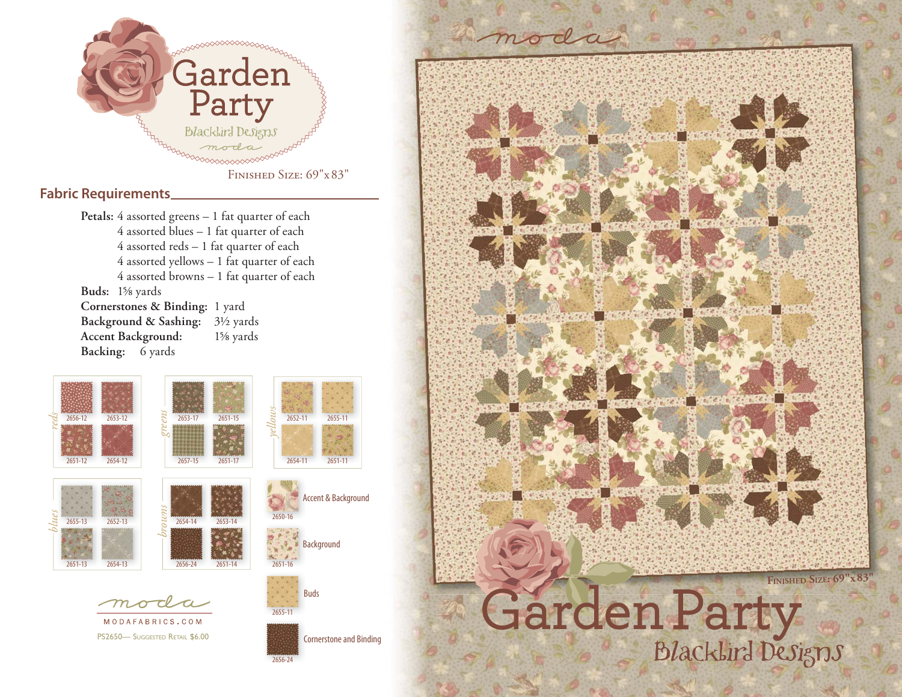

*reds*

*blues*

2651-13

2654-13

2651-14

2651-16

2655-11

Buds

2656-24

Cornerstone and Binding

MODAFABRICS.COM PS2650— SUGGESTED RETAIL \$6.00

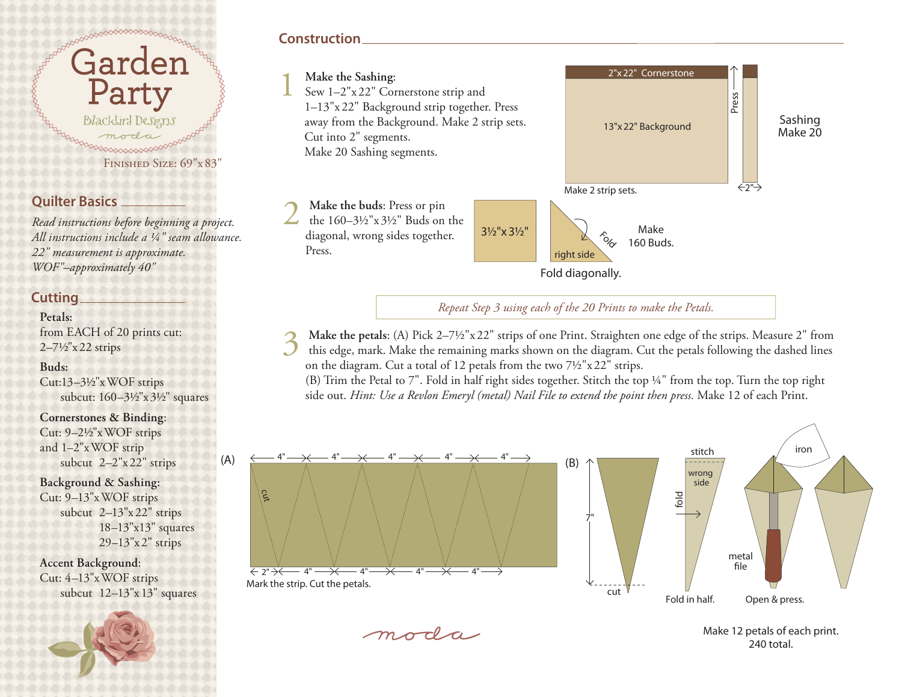# **Construction**



Make the petals: (A) Pick 2–7½"x 22" strips of one Print. Straighten one edge of the strips. Measure 2" from this edge, mark. Make the remaining marks shown on the diagram. Cut the petals following the dashed lines

on the diagram. Cut a total of 12 petals from the two 7½"x 22" strips.

(B) Trim the Petal to 7". Fold in half right sides together. Stitch the top ¼" from the top. Turn the top right side out. *Hint: Use a Revlon Emeryl (metal) Nail File to extend the point then press.* Make 12 of each Print.



moda

Make 12 petals of each print. 240 total.

FINISHED SIZE: 69"x83

## **Quilter Basics**

*Read instructions before beginning a project. All instructions include a ¼" seam allowance. 22" measurement is approximate. WOF"–approximately 40"*

Garden<sup>®</sup><br>Party

**Blacklird Designs** 

## **Cutting**

## **Petals:**from EACH of 20 prints cut:  $2 - 7\frac{1}{2}x$  22 strips

### **Buds:**

Cut: $13-3\frac{1}{2}$ "x WOF strips subcut: 160–3½"x 3½" squares

### **Cornerstones & Binding**:

Cut: 9–2½"x WOF strips and 1–2"x WOF strip subcut 2–2"x 22" strips

**Background & Sashing:**

Cut: 9–13"x WOF strips subcut 2–13"x 22" strips 18–13"x13" squares 29–13"x 2" strips

**Accent Background**: Cut: 4–13"x WOF strips subcut 12–13"x 13" squares

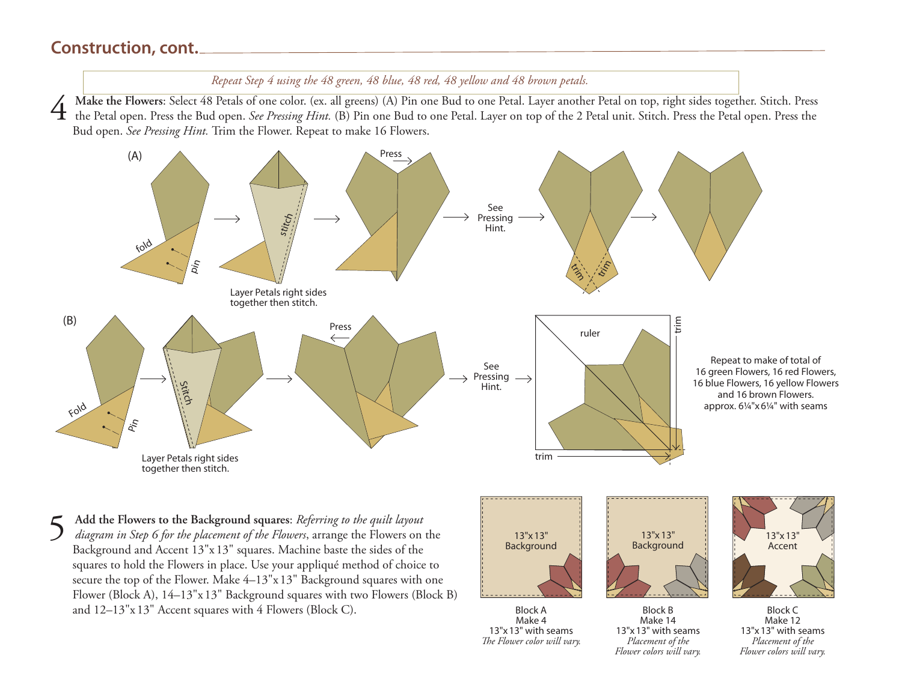# **Construction, cont.**

*Repeat Step 4 using the 48 green, 48 blue, 48 red, 48 yellow and 48 brown petals.*

The Petal open. Press the Bud open. See Pressing Hint. (B) Pin one Bud to one Petal. Layer another Petal on top, right sides together. Stitch. Press the Bud open. See Pressing Hint. (B) Pin one Bud to one Petal. Layer on t Bud open. *See Pressing Hint.* Trim the Flower. Repeat to make 16 Flowers.



5 **Add the Flowers to the Background squares**: *Referring to the quilt layout diagram in Step 6 for the placement of the Flowers*, arrange the Flowers on the Background and Accent 13"x 13" squares. Machine baste the sides of the squares to hold the Flowers in place. Use your appliqué method of choice to secure the top of the Flower. Make 4–13"x 13" Background squares with one Flower (Block A), 14–13"x 13" Background squares with two Flowers (Block B) and 12–13"x 13" Accent squares with 4 Flowers (Block C).



Block AMake 413"x 13" with seams*The Flower color will vary.* 



Block BMake 1413"x 13" with seams*Placement of the Flower colors will vary.*



Block CMake 1213"x 13" with seams*Placement of the Flower colors will vary.*